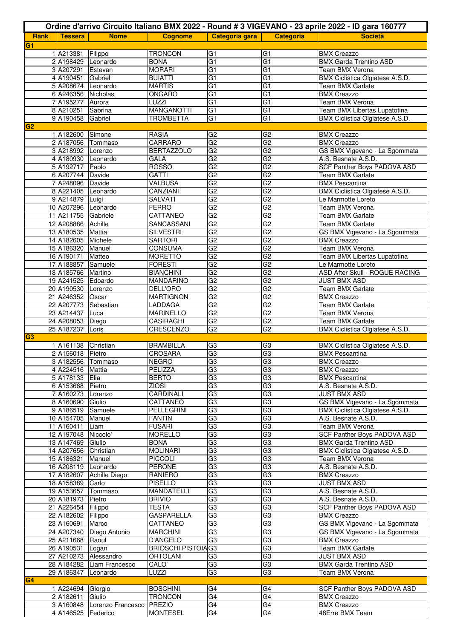|                |                                       |                                    |                                   |                 |                                  | Ordine d'arrivo Circuito Italiano BMX 2022 - Round # 3 VIGEVANO - 23 aprile 2022 - ID gara 160777 |
|----------------|---------------------------------------|------------------------------------|-----------------------------------|-----------------|----------------------------------|---------------------------------------------------------------------------------------------------|
| <b>Rank</b>    | <b>Tessera</b>                        | <b>Nome</b>                        | <b>Cognome</b>                    | Categoria gara  | Categoria                        | <b>Società</b>                                                                                    |
| G <sub>1</sub> |                                       |                                    |                                   |                 |                                  |                                                                                                   |
|                | 1 A213381                             | Filippo                            | <b>TRONCON</b>                    | G <sub>1</sub>  | G <sub>1</sub>                   | <b>BMX Creazzo</b>                                                                                |
|                | 2 A198429 Leonardo                    |                                    | <b>BONA</b>                       | G1              | G <sub>1</sub>                   | <b>BMX Garda Trentino ASD</b>                                                                     |
|                | 3 A207291                             | Estevan                            | <b>MORARI</b>                     | $\overline{G1}$ | G <sub>1</sub>                   | Team BMX Verona                                                                                   |
|                | 4 A190451                             | Gabriel                            | <b>BUIATTI</b>                    | $\overline{G1}$ | G <sub>1</sub>                   | BMX Ciclistica Olgiatese A.S.D.                                                                   |
|                | 5 A208674 Leonardo                    |                                    | <b>MARTIS</b>                     | $\overline{G1}$ | G1                               | Team BMX Garlate                                                                                  |
|                | 6 A246356 Nicholas                    |                                    | ONGARO                            | G1              | G <sub>1</sub>                   | <b>BMX Creazzo</b>                                                                                |
|                | 7 A195277 Aurora                      |                                    | LUZZI                             | G1              | G <sub>1</sub>                   | Team BMX Verona                                                                                   |
|                | 8 A210251                             | Sabrina                            | <b>MANGANOTTI</b>                 | G <sub>1</sub>  | G <sub>1</sub>                   | <b>Team BMX Libertas Lupatotina</b>                                                               |
|                | 9 A190458 Gabriel                     |                                    | <b>TROMBETTA</b>                  | G <sub>1</sub>  | G <sub>1</sub>                   | BMX Ciclistica Olgiatese A.S.D.                                                                   |
| G <sub>2</sub> |                                       |                                    |                                   |                 |                                  |                                                                                                   |
|                | 1 A182600                             | Simone                             | RASIA                             | $\overline{G2}$ | G <sub>2</sub>                   | <b>BMX Creazzo</b>                                                                                |
|                |                                       | 2 A187056 Tommaso                  | CARRARO                           | $\overline{G2}$ | G <sub>2</sub>                   | <b>BMX Creazzo</b>                                                                                |
|                | 3 A218992 Lorenzo                     |                                    | <b>BERTAZZOLO</b>                 | $\overline{G2}$ | G <sub>2</sub>                   | GS BMX Vigevano - La Sgommata                                                                     |
|                | 4 A180930 Leonardo                    |                                    | GALA<br><b>ROSSO</b>              | G2<br>G2        | G <sub>2</sub><br>G <sub>2</sub> | A.S. Besnate A.S.D.                                                                               |
|                | 5 A192717<br>6 A207744 Davide         | Paolo                              | <b>GATTI</b>                      | G2              | G <sub>2</sub>                   | <b>SCF Panther Boys PADOVA ASD</b><br><b>Team BMX Garlate</b>                                     |
|                | 7 A248096 Davide                      |                                    | VALBUSA                           | G2              | G2                               | <b>BMX Pescantina</b>                                                                             |
|                | 8 A221405 Leonardo                    |                                    | <b>CANZIANI</b>                   | $\overline{G2}$ | G <sub>2</sub>                   | <b>BMX Ciclistica Olgiatese A.S.D.</b>                                                            |
|                | 9 A214879 Luigi                       |                                    | SALVATI                           | G2              | G2                               | Le Marmotte Loreto                                                                                |
|                | 10 A207296 Leonardo                   |                                    | <b>FERRO</b>                      | $\overline{G2}$ | G <sub>2</sub>                   | <b>Team BMX Verona</b>                                                                            |
|                | 11 A211755 Gabriele                   |                                    | CATTANEO                          | G2              | GS                               | Team BMX Garlate                                                                                  |
|                | 12 A208886 Achille                    |                                    | SANCASSANI                        | G2              | G2                               | Team BMX Garlate                                                                                  |
|                | 13 A180535 Mattia                     |                                    | <b>SILVESTRI</b>                  | G2              | G2                               | GS BMX Vigevano - La Sgommata                                                                     |
|                | 14 A182605 Michele                    |                                    | <b>SARTORI</b>                    | G2              | G <sub>2</sub>                   | <b>BMX Creazzo</b>                                                                                |
|                | 15 A186320 Manuel                     |                                    | <b>CONSUMA</b>                    | G2              | G2                               | <b>Team BMX Verona</b>                                                                            |
|                | 16 A190171                            | Matteo                             | <b>MORETTO</b>                    | G2              | G <sub>2</sub>                   | Team BMX Libertas Lupatotina                                                                      |
|                | 17 A188857                            | Samuele                            | <b>FORESTI</b>                    | $\overline{G2}$ | G <sub>2</sub>                   | Le Marmotte Loreto                                                                                |
|                | 18 A185766 Martino                    |                                    | <b>BIANCHINI</b>                  | $\overline{G2}$ | G <sub>2</sub>                   | <b>ASD After Skull - ROGUE RACING</b>                                                             |
|                | 19 A241525 Edoardo                    |                                    | <b>MANDARINO</b>                  | $\overline{G2}$ | G <sub>2</sub>                   | <b>JUST BMX ASD</b>                                                                               |
|                | 20 A190530 Lorenzo                    |                                    | DELL'ORO                          | $\overline{G2}$ | G <sub>2</sub>                   | <b>Team BMX Garlate</b>                                                                           |
|                | 21 A246352 Oscar                      |                                    | <b>MARTIGNON</b>                  | $\overline{G2}$ | G <sub>2</sub>                   | <b>BMX Creazzo</b>                                                                                |
|                |                                       | 22 A207773 Sebastian               | LADDAGA                           | G2              | G <sub>2</sub>                   | Team BMX Garlate                                                                                  |
|                | 23 A214437                            | Luca                               | <b>MARINELLO</b>                  | G2              | G <sub>2</sub>                   | <b>Team BMX Verona</b>                                                                            |
|                | 24 A208053 Diego                      |                                    | <b>CASIRAGHI</b>                  | G2              | G <sub>2</sub>                   | Team BMX Garlate                                                                                  |
|                | 25 A187237                            | Loris                              | <b>CRESCENZO</b>                  | G2              | G2                               | BMX Ciclistica Olgiatese A.S.D.                                                                   |
| IG3            |                                       |                                    |                                   |                 |                                  |                                                                                                   |
|                | 1 A161138 Christian                   |                                    | <b>BRAMBILLA</b>                  | G <sub>3</sub>  | G <sub>3</sub>                   | <b>BMX Ciclistica Olgiatese A.S.D.</b>                                                            |
|                | 2 A156018 Pietro                      |                                    | <b>CROSARA</b>                    | G3              | G <sub>3</sub>                   | <b>BMX Pescantina</b>                                                                             |
|                |                                       | 3 A182556 Tommaso                  | <b>NEGRO</b>                      | G <sub>3</sub>  | G <sub>3</sub>                   | <b>BMX Creazzo</b>                                                                                |
|                | 4 A224516 Mattia                      |                                    | PELIZZA                           | G3              | G <sub>3</sub>                   | <b>BMX Creazzo</b>                                                                                |
|                | 5 A178133 Elia                        |                                    | <b>BERTO</b>                      | G3<br>G3        | G3<br>G3                         | <b>BMX Pescantina</b>                                                                             |
|                | 6 A153668 Pietro<br>7 A160273 Lorenzo |                                    | <b>ZIOSI</b><br>CARDINALI         | G3              | G <sub>3</sub>                   | A.S. Besnate A.S.D.<br><b>JUST BMX ASD</b>                                                        |
|                | 8 A160690 Giulio                      |                                    | CATTANEO                          | $\overline{G3}$ | G <sub>3</sub>                   | GS BMX Vigevano - La Sgommata                                                                     |
|                | 9 A186519 Samuele                     |                                    | PELLEGRINI                        | $\overline{G3}$ | G3                               | <b>BMX Ciclistica Olgiatese A.S.D.</b>                                                            |
|                | 10 A154705 Manuel                     |                                    | <b>FANTIN</b>                     | $\overline{G3}$ | G3                               | A.S. Besnate A.S.D.                                                                               |
|                | 11 A160411 Liam                       |                                    | <b>FUSARI</b>                     | G3              | G <sub>3</sub>                   | Team BMX Verona                                                                                   |
|                | 12 A197048 Niccolo'                   |                                    | <b>MORELLO</b>                    | $\overline{G3}$ | G3                               | SCF Panther Boys PADOVA ASD                                                                       |
|                | 13 A147469 Giulio                     |                                    | <b>BONA</b>                       | G3              | G3                               | <b>BMX Garda Trentino ASD</b>                                                                     |
|                | 14 A207656 Christian                  |                                    | <b>MOLINARI</b>                   | G3              | G3                               | BMX Ciclistica Olgiatese A.S.D.                                                                   |
|                | 15 A186321                            | Manuel                             | <b>PICCOLI</b>                    | G3              | G <sub>3</sub>                   | Team BMX Verona                                                                                   |
|                | 16 A208119 Leonardo                   |                                    | <b>PERONE</b>                     | $\overline{G3}$ | G <sub>3</sub>                   | A.S. Besnate A.S.D.                                                                               |
|                |                                       | 17 A182607 Achille Diego           | RANIERO                           | G3              | G <sub>3</sub>                   | <b>BMX Creazzo</b>                                                                                |
|                | 18 A158389 Carlo                      |                                    | <b>PISELLO</b>                    | $\overline{G3}$ | G <sub>3</sub>                   | <b>JUST BMX ASD</b>                                                                               |
|                |                                       | 19 A153657 Tommaso                 | MANDATELLI                        | G3              | G <sub>3</sub>                   | A.S. Besnate A.S.D.                                                                               |
|                | 20 A181973 Pietro                     |                                    | <b>BRIVIO</b>                     | G3              | G3                               | A.S. Besnate A.S.D.                                                                               |
|                | 21 A226454 Filippo                    |                                    | <b>TESTA</b>                      | G <sub>3</sub>  | G3                               | <b>SCF Panther Boys PADOVA ASD</b>                                                                |
|                | 22 A182602 Filippo                    |                                    | <b>GASPARELLA</b>                 | $\overline{G3}$ | G <sub>3</sub>                   | <b>BMX Creazzo</b>                                                                                |
|                | 23 A160691                            | Marco                              | CATTANEO                          | G3              | G3                               | GS BMX Vigevano - La Sgommata                                                                     |
|                |                                       | 24 A207340 Diego Antonio           | <b>MARCHINI</b>                   | G3              | G3                               | GS BMX Vigevano - La Sgommata                                                                     |
|                | 25 A211668 Raoul                      |                                    | D'ANGELO                          | G3              | G <sub>3</sub>                   | <b>BMX Creazzo</b>                                                                                |
|                | 26 A190531                            | Logan                              | <b>BRIOSCHI PISTOIAG3</b>         |                 | G <sub>3</sub>                   | Team BMX Garlate                                                                                  |
|                |                                       | 27 A210273 Alessandro              | ORTOLANI                          | G3              | G3                               | JUST BMX ASD                                                                                      |
|                |                                       | 28 A184282 Liam Francesco          | CALO'                             | G3              | G3                               | <b>BMX Garda Trentino ASD</b>                                                                     |
|                | 29 A186347 Leonardo                   |                                    | LUZZI                             | G3              | G <sub>3</sub>                   | <b>Team BMX Verona</b>                                                                            |
| G4             |                                       |                                    |                                   |                 |                                  |                                                                                                   |
|                | 1 A224694 Giorgio<br>2 A182611        | Giulio                             | <b>BOSCHINI</b><br><b>TRONCON</b> | G4<br>G4        | G4<br>G <sub>4</sub>             | <b>SCF Panther Boys PADOVA ASD</b>                                                                |
|                |                                       | 3 A160848 Lorenzo Francesco PREZIO |                                   | G4              | G <sub>4</sub>                   | <b>BMX Creazzo</b><br><b>BMX</b> Creazzo                                                          |
|                | 4 A146525 Federico                    |                                    | <b>MONTESEL</b>                   | G4              | G4                               | 48Erre BMX Team                                                                                   |
|                |                                       |                                    |                                   |                 |                                  |                                                                                                   |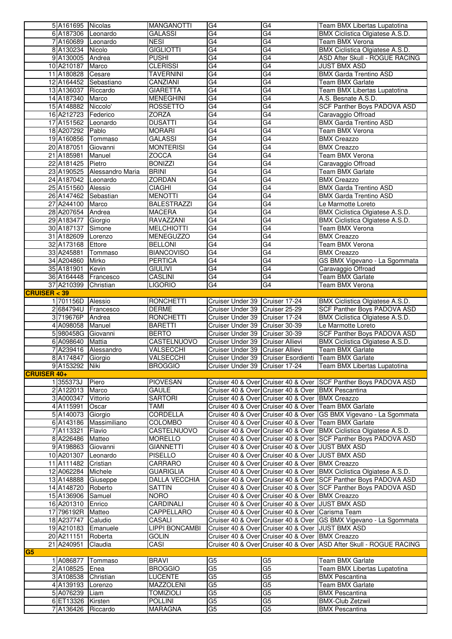|                    | 5 A161695 Nicolas     |                             | <b>MANGANOTTI</b>         | G <sub>4</sub>                   | G4                                  | Team BMX Libertas Lupatotina                                       |
|--------------------|-----------------------|-----------------------------|---------------------------|----------------------------------|-------------------------------------|--------------------------------------------------------------------|
|                    | 6 A187306 Leonardo    |                             | <b>GALASSI</b>            | G4                               | $\overline{G4}$                     | BMX Ciclistica Olgiatese A.S.D.                                    |
|                    | 7 A160689 Leonardo    |                             | <b>NESI</b>               | G4                               | G4                                  | Team BMX Verona                                                    |
|                    | 8 A130234 Nicolo      |                             | <b>GIGLIOTTI</b>          | G4                               | $\overline{G4}$                     | BMX Ciclistica Olgiatese A.S.D.                                    |
|                    | 9 A130005 Andrea      |                             | <b>PUSHI</b>              | G4                               | G4                                  | ASD After Skull - ROGUE RACING                                     |
|                    | 10 A210187            | Marco                       | <b>CLERISSI</b>           | $\overline{G4}$                  | $\overline{G4}$                     | <b>JUST BMX ASD</b>                                                |
|                    | 11 A180828 Cesare     |                             | <b>TAVERNINI</b>          | G4                               | G4                                  | <b>BMX Garda Trentino ASD</b>                                      |
|                    |                       | 12 A164452 Sebastiano       | CANZIANI                  | $\overline{G4}$                  | $\overline{G4}$                     | <b>Team BMX Garlate</b>                                            |
|                    | 13 A136037 Riccardo   |                             | <b>GIARETTA</b>           | G4                               | G4                                  | Team BMX Libertas Lupatotina                                       |
|                    | 14 A187340 Marco      |                             | <b>MENEGHINI</b>          | G4                               | G4                                  | A.S. Besnate A.S.D.                                                |
|                    | 15 A148882            | Niccolo'                    | <b>ROSSETTO</b>           | G4                               | G4                                  | <b>SCF Panther Boys PADOVA ASD</b>                                 |
|                    | 16 A212723            | Federico                    | <b>ZORZA</b>              | $\overline{G4}$                  | $\overline{G4}$                     | Caravaggio Offroad                                                 |
|                    | 17 A151562 Leonardo   |                             | <b>DUSATTI</b>            | G4                               | G4                                  | <b>BMX Garda Trentino ASD</b>                                      |
|                    | 18 A207292            | Pablo                       | <b>MORARI</b>             | $\overline{G4}$                  | $\overline{G4}$                     | Team BMX Verona                                                    |
|                    | 19 A160856            | Tommaso                     | <b>GALASSI</b>            | G4                               | G4                                  | <b>BMX Creazzo</b>                                                 |
|                    | 20 A187051            | Giovanni                    | <b>MONTERISI</b>          | $\overline{G4}$                  | $\overline{G4}$                     | <b>BMX Creazzo</b>                                                 |
|                    | 21 A185981            | Manuel                      | ZOCCA                     | G4                               | G4                                  | <b>Team BMX Verona</b>                                             |
|                    | 22 A181425            | Pietro                      | <b>BONIZZI</b>            | G4                               | $\overline{G4}$                     | Caravaggio Offroad                                                 |
|                    |                       | 23 A190525 Alessandro Maria | <b>BRINI</b>              | G4                               | G4                                  | Team BMX Garlate                                                   |
|                    | 24 A187042 Leonardo   |                             | <b>ZORDAN</b>             | G4                               | $\overline{G4}$                     | <b>BMX Creazzo</b>                                                 |
|                    | 25 A151560 Alessio    |                             | <b>CIAGHI</b>             | G4                               | G4                                  | <b>BMX Garda Trentino ASD</b>                                      |
|                    | 26 A147462            | Sebastian                   | <b>MENOTTI</b>            | $\overline{G4}$                  | G4                                  | <b>BMX Garda Trentino ASD</b>                                      |
|                    | 27 A244100            | Marco                       | <b>BALESTRAZZI</b>        | G4                               | G4                                  | Le Marmotte Loreto                                                 |
|                    | 28 A207654 Andrea     |                             | <b>MACERA</b>             | G4                               | $\overline{G4}$                     | <b>BMX Ciclistica Olgiatese A.S.D.</b>                             |
|                    | 29 A183477            | Giorgio                     | <b>RAVAZZANI</b>          | G4                               | G4                                  | BMX Ciclistica Olgiatese A.S.D.                                    |
|                    | 30 A187137            | Simone                      | <b>MELCHIOTTI</b>         | G4                               | G4                                  | <b>Team BMX Verona</b>                                             |
|                    | 31 A182609            | Lorenzo                     | <b>MENEGUZZO</b>          | G <sub>4</sub>                   | G4                                  | <b>BMX Creazzo</b>                                                 |
|                    | 32 A173168            | Ettore                      | <b>BELLONI</b>            | G4                               | G4                                  | <b>Team BMX Verona</b>                                             |
|                    | 33 A245881            | Tommaso                     | <b>BIANCOVISO</b>         | G4                               | G4                                  | <b>BMX Creazzo</b>                                                 |
|                    | 34 A204860            | Mirko                       | <b>PERTICA</b>            | G4                               | G4                                  | GS BMX Vigevano - La Sgommata                                      |
|                    | 35 A181901            | Kevin                       | <b>GIULIVI</b>            | $\overline{G4}$                  | G4                                  | Caravaggio Offroad                                                 |
|                    | 36 A164448            | Francesco                   | <b>CASLINI</b>            | G4                               | G4                                  | Team BMX Garlate                                                   |
|                    | 37 A210399            | Christian                   | <b>LIGORIO</b>            | G4                               | $\overline{G4}$                     | Team BMX Verona                                                    |
| CRUISER < 39       |                       |                             |                           |                                  |                                     |                                                                    |
|                    | 1 701156D Alessio     |                             | <b>RONCHETTI</b>          | Cruiser Under 39 Cruiser 17-24   |                                     | <b>BMX Ciclistica Olgiatese A.S.D.</b>                             |
|                    |                       | 2 684794U Francesco         | <b>DERME</b>              | Cruiser Under 39 Cruiser 25-29   |                                     | SCF Panther Boys PADOVA ASD                                        |
|                    |                       |                             |                           |                                  |                                     |                                                                    |
|                    |                       |                             |                           |                                  |                                     |                                                                    |
|                    | 3 719676P             | Andrea                      | <b>RONCHETTI</b>          | Cruiser Under 39 Cruiser 17-24   |                                     | BMX Ciclistica Olgiatese A.S.D.                                    |
|                    | 4 A098058             | Manuel                      | <b>BARETTI</b>            | Cruiser Under 39 Cruiser 30-39   |                                     | Le Marmotte Loreto                                                 |
|                    | 5 980458G Giovanni    |                             | <b>BERTO</b>              | Cruiser Under 39 Cruiser 30-39   |                                     | <b>SCF Panther Boys PADOVA ASD</b>                                 |
|                    | 6 A098640             | Mattia                      | <b>CASTELNUOVO</b>        | Cruiser Under 39 Cruiser Allievi |                                     | BMX Ciclistica Olgiatese A.S.D.                                    |
|                    | 7 A239416             | Alessandro                  | VALSECCHI                 | Cruiser Under 39 Cruiser Allievi |                                     | Team BMX Garlate                                                   |
|                    | 8 A174847 Giorgio     |                             | VALSECCHI                 |                                  |                                     | Cruiser Under 39 Cruiser Esordienti Team BMX Garlate               |
|                    | 9 A153292 Niki        |                             | <b>BROGGIO</b>            | Cruiser Under 39 Cruiser 17-24   |                                     | Team BMX Libertas Lupatotina                                       |
| <b>CRUISER 40+</b> |                       |                             |                           |                                  |                                     |                                                                    |
|                    | 1355373J              | Piero                       | <b>PIOVESAN</b>           |                                  | Cruiser 40 & Over Cruiser 40 & Over | <b>SCF Panther Boys PADOVA ASD</b>                                 |
|                    | 2A122013              | Marco                       | <b>GAULE</b>              |                                  | Cruiser 40 & Over Cruiser 40 & Over | <b>BMX Pescantina</b>                                              |
|                    | 3 A000347             | Vittorio                    | <b>SARTORI</b>            |                                  | Cruiser 40 & Over Cruiser 40 & Over | <b>BMX Creazzo</b>                                                 |
|                    | 4A115991              | Oscar                       | <b>TAMI</b>               |                                  | Cruiser 40 & Over Cruiser 40 & Over | Team BMX Garlate                                                   |
|                    | 5 A140073             | Giorgio                     | CORDELLA                  |                                  | Cruiser 40 & Over Cruiser 40 & Over | GS BMX Vigevano - La Sgommata                                      |
|                    | 6 A143186             | Massimiliano                | <b>COLOMBO</b>            |                                  | Cruiser 40 & Over Cruiser 40 & Over | Team BMX Garlate                                                   |
|                    | 7A113321              | Flavio                      | CASTELNUOVO               |                                  | Cruiser 40 & Over Cruiser 40 & Over | BMX Ciclistica Olgiatese A.S.D.                                    |
|                    | 8 A226486             | Matteo                      | <b>MORELLO</b>            |                                  | Cruiser 40 & Over Cruiser 40 & Over | <b>SCF Panther Boys PADOVA ASD</b>                                 |
|                    | 9 A198863             | Giovanni                    | <b>GIANNETTI</b>          |                                  | Cruiser 40 & Over Cruiser 40 & Over | <b>JUST BMX ASD</b>                                                |
|                    | 10 A201307            | Leonardo                    | <b>PISELLO</b>            |                                  | Cruiser 40 & Over Cruiser 40 & Over | <b>JUST BMX ASD</b>                                                |
|                    | 11 A111482            | Cristian                    | CARRARO                   |                                  | Cruiser 40 & Over Cruiser 40 & Over | <b>BMX Creazzo</b>                                                 |
|                    | 12 A062284            | Michele                     | <b>GUARIGLIA</b>          |                                  | Cruiser 40 & Over Cruiser 40 & Over | BMX Ciclistica Olgiatese A.S.D.                                    |
|                    | 13 A148888            | Giuseppe                    | DALLA VECCHIA             |                                  | Cruiser 40 & Over Cruiser 40 & Over | SCF Panther Boys PADOVA ASD                                        |
|                    | 14 A148720            | Roberto                     | SATTIN                    |                                  | Cruiser 40 & Over Cruiser 40 & Over | SCF Panther Boys PADOVA ASD                                        |
|                    | 15 A136906            | Samuel                      | <b>NORO</b>               |                                  | Cruiser 40 & Over Cruiser 40 & Over | <b>BMX Creazzo</b>                                                 |
|                    | 16 A201310            | Enrico                      | CARDINALI                 |                                  | Cruiser 40 & Over Cruiser 40 & Over | <b>JUST BMX ASD</b>                                                |
|                    | 17 796192R            | Matteo                      | CAPPELLARO                |                                  | Cruiser 40 & Over Cruiser 40 & Over | Carisma Team                                                       |
|                    | 18 A237747            | Caludio                     | CASALI                    |                                  | Cruiser 40 & Over Cruiser 40 & Over | GS BMX Vigevano - La Sgommata                                      |
|                    | 19 A210183            | Emanuele                    | <b>LIPPI BONCAMBI</b>     |                                  | Cruiser 40 & Over Cruiser 40 & Over | <b>JUST BMX ASD</b>                                                |
|                    | 20 A211151            | Roberta                     | <b>GOLIN</b>              |                                  | Cruiser 40 & Over Cruiser 40 & Over | <b>BMX Creazzo</b>                                                 |
|                    | 21 A240951            | Claudia                     | CASI                      |                                  |                                     | Cruiser 40 & Over Cruiser 40 & Over ASD After Skull - ROGUE RACING |
| G5                 |                       |                             |                           |                                  |                                     |                                                                    |
|                    | 1 A086877             | Tommaso                     | <b>BRAVI</b>              | G <sub>5</sub>                   | G5                                  | Team BMX Garlate                                                   |
|                    | 2 A108525             | Enea                        | <b>BROGGIO</b>            | G5                               | G5                                  | Team BMX Libertas Lupatotina                                       |
|                    | 3 A108538             | Christian                   | <b>LUCENTE</b>            | G <sub>5</sub>                   | $\overline{G5}$                     | <b>BMX Pescantina</b>                                              |
|                    | 4 A139193             | Lorenzo                     | <b>MAZZOLENI</b>          | G5                               | $\overline{G5}$                     | <b>Team BMX Garlate</b>                                            |
|                    | 5 A076239             | Liam                        | <b>TOMIZIOLI</b>          | G5                               | G5                                  | <b>BMX Pescantina</b>                                              |
|                    | 6 ET13326<br>7A136426 | Kirsten<br>Riccardo         | <b>POLLINI</b><br>MARAGNA | G5<br>G5                         | G5<br>G5                            | <b>BMX-Club Zetzwil</b><br><b>BMX Pescantina</b>                   |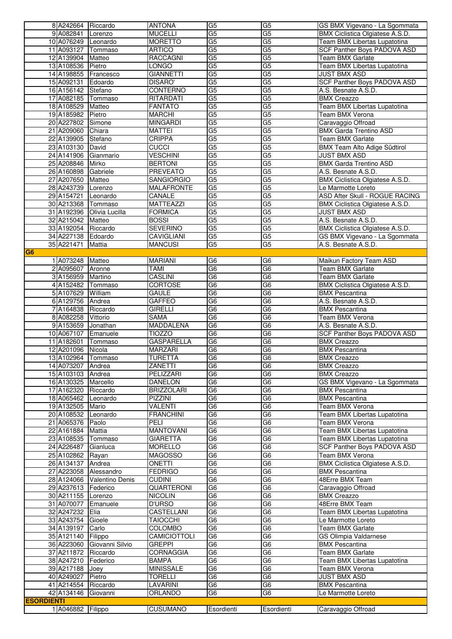|                   | 8 A242664 Riccardo                      |                            | <b>ANTONA</b>             | G5                                | G5                                | GS BMX Vigevano - La Sgommata                       |
|-------------------|-----------------------------------------|----------------------------|---------------------------|-----------------------------------|-----------------------------------|-----------------------------------------------------|
|                   | 9 A082841 Lorenzo                       |                            | <b>MUCELLI</b>            | G <sub>5</sub>                    | $\overline{G5}$                   | BMX Ciclistica Olgiatese A.S.D.                     |
|                   | 10 A076249 Leonardo                     |                            | <b>MORETTO</b>            | $\overline{G5}$                   | G5                                | Team BMX Libertas Lupatotina                        |
|                   | 11 A093127 Tommaso                      |                            | ARTICO                    | G <sub>5</sub>                    | $\overline{G5}$                   | SCF Panther Boys PADOVA ASD                         |
|                   | 12 A139904 Matteo                       |                            | <b>RACCAGNI</b>           | G5                                | $\overline{G5}$                   | <b>Team BMX Garlate</b>                             |
|                   | 13 A108536 Pietro                       |                            | <b>LONGO</b>              | $\overline{G}$                    | $\overline{G5}$                   | Team BMX Libertas Lupatotina                        |
|                   |                                         | 14 A198855 Francesco       | <b>GIANNETTI</b>          | G <sub>5</sub>                    | G <sub>5</sub>                    | <b>JUST BMX ASD</b>                                 |
|                   | 15 A092131 Edoardo                      |                            | <b>DISARO'</b>            | G <sub>5</sub>                    | G <sub>5</sub>                    | SCF Panther Boys PADOVA ASD                         |
|                   | 16 A156142 Stefano                      |                            | <b>CONTERNO</b>           | G <sub>5</sub>                    | G <sub>5</sub>                    | A.S. Besnate A.S.D.                                 |
|                   | 17 A082185 Tommaso                      |                            | RITARDATI                 | G <sub>5</sub>                    | G <sub>5</sub>                    | <b>BMX Creazzo</b>                                  |
|                   | 18 A108529 Matteo                       |                            | <b>FANTATO</b>            | G5                                | G <sub>5</sub>                    | Team BMX Libertas Lupatotina                        |
|                   | 19 A185982 Pietro                       |                            | <b>MARCHI</b>             | $\overline{G5}$                   | $\overline{G5}$<br>G <sub>5</sub> | Team BMX Verona                                     |
|                   | 20 A227802 Simone                       |                            | <b>MINGARDI</b>           | G <sub>5</sub><br>$\overline{G5}$ | $\overline{G5}$                   | Caravaggio Offroad<br><b>BMX Garda Trentino ASD</b> |
|                   | 21 A209060 Chiara<br>22 A139905         | Stefano                    | MATTEI<br><b>CRIPPA</b>   | G <sub>5</sub>                    | G <sub>5</sub>                    | Team BMX Garlate                                    |
|                   | 23 A103130 David                        |                            | <b>CUCCI</b>              | $\overline{G5}$                   | G <sub>5</sub>                    | BMX Team Alto Adige Südtirol                        |
|                   | 24 A141906 Gianmario                    |                            | <b>VESCHINI</b>           | G <sub>5</sub>                    | G <sub>5</sub>                    | JUST BMX ASD                                        |
|                   | 25 A208846 Mirko                        |                            | <b>BERTONI</b>            | G <sub>5</sub>                    | G <sub>5</sub>                    | <b>BMX Garda Trentino ASD</b>                       |
|                   | 26 A160898 Gabriele                     |                            | <b>PREVEATO</b>           | G <sub>5</sub>                    | G <sub>5</sub>                    | A.S. Besnate A.S.D.                                 |
|                   | 27 A207650                              | Matteo                     | SANGIORGIO                | G <sub>5</sub>                    | $\overline{G5}$                   | BMX Ciclistica Olgiatese A.S.D.                     |
|                   | 28 A243739 Lorenzo                      |                            | <b>MALAFRONTE</b>         | G5                                | G <sub>5</sub>                    | Le Marmotte Loreto                                  |
|                   | 29 A154721                              | Leonardo                   | CANALE                    | $\overline{G5}$                   | G <sub>5</sub>                    | ASD After Skull - ROGUE RACING                      |
|                   | 30 A213368 Tommaso                      |                            | <b>MATTEAZZI</b>          | G <sub>5</sub>                    | $\overline{G5}$                   | BMX Ciclistica Olgiatese A.S.D.                     |
|                   |                                         | 31 A192396 Olivia Lucilla  | <b>FORMICA</b>            | G <sub>5</sub>                    | $\overline{G5}$                   | <b>JUST BMX ASD</b>                                 |
|                   | 32 A215042 Matteo                       |                            | <b>BOSSI</b>              | G <sub>5</sub>                    | G <sub>5</sub>                    | A.S. Besnate A.S.D.                                 |
|                   | 33 A192054 Riccardo                     |                            | <b>SEVERINO</b>           | G <sub>5</sub>                    | G5                                | BMX Ciclistica Olgiatese A.S.D.                     |
|                   | 34 A227138 Edoardo                      |                            | <b>CAVIGLIANI</b>         | G <sub>5</sub>                    | G <sub>5</sub>                    | GS BMX Vigevano - La Sgommata                       |
|                   | 35 A221471                              | Mattia                     | <b>MANCUSI</b>            | G <sub>5</sub>                    | G <sub>5</sub>                    | A.S. Besnate A.S.D.                                 |
| G <sub>6</sub>    |                                         |                            |                           |                                   |                                   |                                                     |
|                   | 1 A073248 Matteo                        |                            | <b>MARIANI</b>            | G <sub>6</sub>                    | G6                                | Maikun Factory Team ASD                             |
|                   | 2 A095607 Aronne                        |                            | TAMI                      | $\overline{G6}$                   | G <sub>6</sub>                    | Team BMX Garlate                                    |
|                   | 3 A156959 Martino                       |                            | <b>CASLINI</b>            | G <sub>6</sub>                    | G <sub>6</sub>                    | <b>Team BMX Garlate</b>                             |
|                   | 4 A152482 Tommaso                       |                            | CORTOSE                   | $\overline{G6}$                   | G6                                | BMX Ciclistica Olgiatese A.S.D.                     |
|                   | 5 A107629 William                       |                            | <b>GAULE</b>              | G6                                | $\overline{G6}$                   | <b>BMX Pescantina</b>                               |
|                   | 6 A129756 Andrea                        |                            | GAFFEO                    | $\overline{G6}$                   | G <sub>6</sub>                    | A.S. Besnate A.S.D.                                 |
|                   | 7 A164838 Riccardo                      |                            | <b>GIRELLI</b>            | G <sub>6</sub>                    | $\overline{G6}$                   | <b>BMX Pescantina</b>                               |
|                   | 8 A082258 Vittorio                      |                            | <b>SAMA</b>               | $\overline{G6}$                   | $\overline{G6}$                   | Team BMX Verona                                     |
|                   | 9 A153659 Jonathan                      |                            | <b>MADDALENA</b>          | G <sub>6</sub>                    | G <sub>6</sub>                    | A.S. Besnate A.S.D.                                 |
|                   | 10 A067107                              | Emanuele                   | <b>TIOZZO</b>             | G <sub>6</sub>                    | G <sub>6</sub>                    | <b>SCF Panther Boys PADOVA ASD</b>                  |
|                   | 11 A182601                              | Tommaso                    | <b>GASPARELLA</b>         | G <sub>6</sub><br>G6              | G <sub>6</sub>                    | <b>BMX Creazzo</b>                                  |
|                   | 12 A201096 Nicola<br>13 A102964 Tommaso |                            | MARZARI<br><b>TURETTA</b> | G <sub>6</sub>                    | G6<br>G <sub>6</sub>              | <b>BMX Pescantina</b><br><b>BMX Creazzo</b>         |
|                   | 14 A073207 Andrea                       |                            | <b>ZANETTI</b>            | G <sub>6</sub>                    | G <sub>6</sub>                    | <b>BMX Creazzo</b>                                  |
|                   | 15 A103103 Andrea                       |                            | PELIZZARI                 | G <sub>6</sub>                    | G6                                | <b>BMX Creazzo</b>                                  |
|                   | 16 A130325 Marcello                     |                            | DANELON                   | G <sub>6</sub>                    | G6                                | GS BMX Vigevano - La Sgommata                       |
|                   | 17 A162320 Riccardo                     |                            | <b>BRIZZOLARI</b>         | G <sub>6</sub>                    | G6                                | <b>BMX Pescantina</b>                               |
|                   | 18 A065462                              | Leonardo                   | PIZZINI                   | G <sub>6</sub>                    | G6                                | <b>BMX Pescantina</b>                               |
|                   | 19 A132505 Mario                        |                            | VALENTI                   | G <sub>6</sub>                    | G6                                | Team BMX Verona                                     |
|                   | 20 A108532 Leonardo                     |                            | <b>FRANCHINI</b>          | $\overline{G6}$                   | G <sub>6</sub>                    | Team BMX Libertas Lupatotina                        |
|                   | 21 A065376 Paolo                        |                            | PELI                      | G <sub>6</sub>                    | G6                                | Team BMX Verona                                     |
|                   | 22 A161884 Mattia                       |                            | <b>MANTOVANI</b>          | G <sub>6</sub>                    | $\overline{G6}$                   | Team BMX Libertas Lupatotina                        |
|                   | 23 A108535                              | Tommaso                    | <b>GIARETTA</b>           | G <sub>6</sub>                    | G <sub>6</sub>                    | Team BMX Libertas Lupatotina                        |
|                   | 24 A226487                              | Gianluca                   | <b>MORELLO</b>            | G <sub>6</sub>                    | G6                                | SCF Panther Boys PADOVA ASD                         |
|                   | 25 A102862                              | Rayan                      | <b>MAGOSSO</b>            | $\overline{G6}$                   | G6                                | Team BMX Verona                                     |
|                   | 26 A134137                              | Andrea                     | ONETTI                    | G6                                | G <sub>6</sub>                    | BMX Ciclistica Olgiatese A.S.D.                     |
|                   | 27 A223058                              | Alessandro                 | <b>FEDRIGO</b>            | G <sub>6</sub>                    | G6                                | <b>BMX Pescantina</b>                               |
|                   |                                         | 28 A124066 Valentino Denis | <b>CUDINI</b>             | G <sub>6</sub>                    | G6                                | 48Erre BMX Team                                     |
|                   |                                         |                            |                           |                                   |                                   |                                                     |
|                   | 29 A237613   Federico                   |                            | <b>QUARTERONI</b>         | G <sub>6</sub>                    | G6                                | Caravaggio Offroad                                  |
|                   | 30 A211155 Lorenzo                      |                            | <b>NICOLIN</b>            | $\overline{G6}$                   | G <sub>6</sub>                    | <b>BMX Creazzo</b>                                  |
|                   | 31 A070077                              | Emanuele                   | D'URSO                    | G <sub>6</sub>                    | G6                                | 48Erre BMX Team                                     |
|                   | 32 A247232                              | Elia                       | <b>CASTELLANI</b>         | G6                                | $\overline{G6}$                   | Team BMX Libertas Lupatotina                        |
|                   | 33 A243754                              | Gioele                     | <b>TAIOCCHI</b>           | $\overline{G6}$                   | G6                                | Le Marmotte Loreto                                  |
|                   | 34 A139197                              | Carlo                      | <b>COLOMBO</b>            | G <sub>6</sub>                    | G6                                | Team BMX Garlate                                    |
|                   | 35 A121140                              | Filippo                    | <b>CAMICIOTTOLI</b>       | G <sub>6</sub>                    | G6                                | GS Olimpia Valdarnese                               |
|                   | 36 A223060                              | Giovanni Silvio            | GREPPI                    | $\overline{G6}$                   | $\overline{G6}$                   | <b>BMX Pescantina</b>                               |
|                   | 37 A211872 Riccardo                     |                            | <b>CORNAGGIA</b>          | G6                                | $\overline{G6}$                   | <b>Team BMX Garlate</b>                             |
|                   | 38 A247210   Federico                   |                            | BAMPA                     | $\overline{G6}$                   | G6                                | Team BMX Libertas Lupatotina                        |
|                   | 39 A217188 Joey                         |                            | <b>MINISSALE</b>          | $\overline{G6}$                   | $\overline{G6}$                   | Team BMX Verona                                     |
|                   | 40 A249027                              | Pietro                     | <b>TORELLI</b>            | $\overline{G6}$                   | G6                                | <b>JUST BMX ASD</b>                                 |
|                   | 41 A214554                              | Riccardo                   | <b>LAVARINI</b>           | G <sub>6</sub>                    | G <sub>6</sub>                    | <b>BMX Pescantina</b>                               |
| <b>ESORDIENTI</b> | 42 A134146                              | Giovanni                   | ORLANDO                   | G <sub>6</sub>                    | G6                                | Le Marmotte Loreto                                  |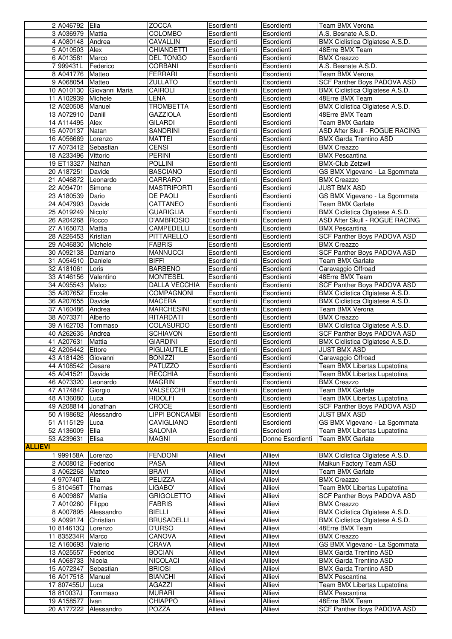|                | 2 A046792 Elia                  |                         | <b>ZOCCA</b>                            | Esordienti                | Esordienti               | <b>Team BMX Verona</b>                                             |
|----------------|---------------------------------|-------------------------|-----------------------------------------|---------------------------|--------------------------|--------------------------------------------------------------------|
|                | 3 A036979                       | Mattia                  | <b>COLOMBO</b>                          | Esordienti                | Esordienti               | A.S. Besnate A.S.D.                                                |
|                | 4 A080148                       | Andrea                  | CAVALLIN                                | Esordienti                | Esordienti               | BMX Ciclistica Olgiatese A.S.D.                                    |
|                | 5 A010503                       | Alex                    | <b>CHIANDETTI</b>                       | Esordienti                | Esordienti               | 48Erre BMX Team                                                    |
|                | 6 A013581                       | Marco                   | <b>DEL TONGO</b>                        | Esordienti                | Esordienti               | <b>BMX Creazzo</b>                                                 |
|                | 7999431L                        | Federico                | CORBANI                                 | Esordienti                | Esordienti               | A.S. Besnate A.S.D.                                                |
|                | 8 A041776<br>9 A068054          | Matteo<br>Matteo        | <b>FERRARI</b><br><b>ZULLATO</b>        | Esordienti<br>Esordienti  | Esordienti<br>Esordienti | Team BMX Verona<br>SCF Panther Boys PADOVA ASD                     |
|                | 10 A010130                      | Giovanni Maria          | CAIROLI                                 | Esordienti                | Esordienti               | BMX Ciclistica Olgiatese A.S.D.                                    |
|                | 11 A102939                      | Michele                 | LENA                                    | Esordienti                | Esordienti               | 48Erre BMX Team                                                    |
|                | 12 A020508                      | Manuel                  | <b>TROMBETTA</b>                        | Esordienti                | Esordienti               | <b>BMX Ciclistica Olgiatese A.S.D.</b>                             |
|                | 13 A072910                      | Daniil                  | <b>GAZZIOLA</b>                         | Esordienti                | Esordienti               | 48Erre BMX Team                                                    |
|                | 14 A114495                      | Alex                    | <b>GILARDI</b>                          | Esordienti                | Esordienti               | Team BMX Garlate                                                   |
|                | 15 A070137                      | Natan                   | <b>SANDRINI</b>                         | Esordienti                | Esordienti               | ASD After Skull - ROGUE RACING                                     |
|                | 16 A056669                      | Lorenzo                 | <b>MATTEI</b>                           | Esordienti                | Esordienti               | <b>BMX Garda Trentino ASD</b>                                      |
|                | 17 A073412                      | Sebastian               | <b>CENSI</b>                            | Esordienti                | Esordienti               | <b>BMX Creazzo</b>                                                 |
|                | 18 A233496                      | Vittorio                | <b>PERINI</b>                           | Esordienti                | Esordienti               | <b>BMX</b> Pescantina                                              |
|                | 19 ET13327                      | Nathan                  | <b>POLLINI</b>                          | Esordienti                | Esordienti               | <b>BMX-Club Zetzwil</b>                                            |
|                | 20 A187251                      | Davide                  | <b>BASCIANO</b>                         | Esordienti                | Esordienti               | GS BMX Vigevano - La Sgommata                                      |
|                | 21 A046872                      | Leonardo                | <b>CARRARO</b>                          | Esordienti                | Esordienti               | <b>BMX Creazzo</b>                                                 |
|                | 22 A094701                      | Simone                  | <b>MASTRIFORTI</b>                      | Esordienti                | Esordienti               | <b>JUST BMX ASD</b>                                                |
|                | 23 A180539<br>24 A047993        | Dario<br>Davide         | DE PAOLI<br>CATTANEO                    | Esordienti<br>Esordienti  | Esordienti<br>Esordienti | GS BMX Vigevano - La Sgommata<br>Team BMX Garlate                  |
|                | 25 A019249                      | Nicolo'                 | <b>GUARIGLIA</b>                        | Esordienti                | Esordienti               | <b>BMX Ciclistica Olgiatese A.S.D.</b>                             |
|                | 26 A204268                      | Rocco                   | D'AMBROSIO                              | Esordienti                | Esordienti               | ASD After Skull - ROGUE RACING                                     |
|                | 27 A165073                      | Mattia                  | CAMPEDELLI                              | Esordienti                | Esordienti               | <b>BMX Pescantina</b>                                              |
|                | 28 A226453                      | Kristian                | PITTARELLO                              | Esordienti                | Esordienti               | SCF Panther Boys PADOVA ASD                                        |
|                | 29 A046830                      | Michele                 | <b>FABRIS</b>                           | Esordienti                | Esordienti               | <b>BMX Creazzo</b>                                                 |
|                | 30 A092138                      | Damiano                 | <b>MANNUCCI</b>                         | Esordienti                | Esordienti               | SCF Panther Boys PADOVA ASD                                        |
|                | 31 A054510                      | Daniele                 | <b>BIFFI</b>                            | Esordienti                | Esordienti               | Team BMX Garlate                                                   |
|                | 32 A181061                      | Loris                   | <b>BARBENO</b>                          | Esordienti                | Esordienti               | Caravaggio Offroad                                                 |
|                | 33 A146156<br>34 A095543        | Valentino<br>Malco      | <b>MONTESEL</b><br><b>DALLA VECCHIA</b> | Esordienti<br>Esordienti  | Esordienti<br>Esordienti | 48Erre BMX Team<br>SCF Panther Boys PADOVA ASD                     |
|                | 35 A207652                      | Ercole                  | <b>COMPAGNONI</b>                       | Esordienti                | Esordienti               | BMX Ciclistica Olgiatese A.S.D.                                    |
|                | 36 A207655                      | Davide                  | <b>MACERA</b>                           | Esordienti                | Esordienti               | BMX Ciclistica Olgiatese A.S.D.                                    |
|                | 37 A160486                      | Andrea                  | <b>MARCHESINI</b>                       | Esordienti                | Esordienti               | Team BMX Verona                                                    |
|                | 38 A073371                      | Alberto                 | RITARDATI                               | Esordienti                | Esordienti               | <b>BMX Creazzo</b>                                                 |
|                | 39 A162703                      | Tommaso                 | <b>COLASURDO</b>                        | Esordienti                | Esordienti               | BMX Ciclistica Olgiatese A.S.D.                                    |
|                | 40 A262635                      | Andrea                  | <b>SCHIAVON</b>                         | Esordienti                | Esordienti               | SCF Panther Boys PADOVA ASD                                        |
|                | 41 A207631                      | <b>Mattia</b>           | <b>GIARDINI</b>                         | Esordienti                | Esordienti               | BMX Ciclistica Olgiatese A.S.D.                                    |
|                | 42 A206442                      | Ettore                  | PIGLIAUTILE                             | Esordienti                | Esordienti               | JUST BMX ASD                                                       |
|                | 43 A181426<br>44 A108542 Cesare | Giovanni                | <b>BONIZZI</b><br><b>PATUZZO</b>        | Esordienti<br>Esordienti  | Esordienti<br>Esordienti | Caravaggio Offroad<br>Team BMX Libertas Lupatotina                 |
|                | 45 A041521                      | Davide                  | <b>RECCHIA</b>                          | Esordienti                | Esordienti               | Team BMX Libertas Lupatotina                                       |
|                | 46 A073320                      | Leonardo                | <b>MAGRIN</b>                           | Esordienti                | Esordienti               | <b>BMX Creazzo</b>                                                 |
|                | 47 A174847                      | Giorgio                 | VALSECCHI                               | Esordienti                | Esordienti               | Team BMX Garlate                                                   |
|                | 48 A136080                      | Luca                    | <b>RIDOLFI</b>                          | Esordienti                | Esordienti               | Team BMX Libertas Lupatotina                                       |
|                | 49 A208814                      | Jonathan                | CROCE                                   | Esordienti                | Esordienti               | <b>SCF Panther Boys PADOVA ASD</b>                                 |
|                | 50 A198682                      | Alessandro              | LIPPI BONCAMBI                          | Esordienti                | Esordienti               | JUST BMX ASD                                                       |
|                | 51 A115129                      | Luca                    | CAVIGLIANO                              | Esordienti                | Esordienti               | GS BMX Vigevano - La Sgommata                                      |
|                | 52 A136009                      | Elia                    | <b>SALONIA</b>                          | Esordienti                | Esordienti               | Team BMX Libertas Lupatotina                                       |
| <b>ALLIEVI</b> | 53 A239631                      | Elisa                   | <b>MAGNI</b>                            | Esordienti                | Donne Esordienti         | Team BMX Garlate                                                   |
|                | 1999158A                        | Lorenzo                 | <b>FENDONI</b>                          | Allievi                   | Allievi                  | BMX Ciclistica Olgiatese A.S.D.                                    |
|                | 2 A008012                       | Federico                | <b>PASA</b>                             | <b>Allievi</b>            | Allievi                  | Maikun Factory Team ASD                                            |
|                | 3 A062268                       | Matteo                  | <b>BRAVI</b>                            | Allievi                   | Allievi                  | <b>Team BMX Garlate</b>                                            |
|                | 4 970740T                       | Elia                    | PELIZZA                                 | Allievi                   | Allievi                  | <b>BMX Creazzo</b>                                                 |
|                | 5810456T                        | Thomas                  | LIGABO'                                 | Allievi                   | Allievi                  | Team BMX Libertas Lupatotina                                       |
|                | 6 A009887                       | Mattia                  | <b>GRIGOLETTO</b>                       | Allievi                   | Allievi                  | SCF Panther Boys PADOVA ASD                                        |
|                | 7 A010260                       | Filippo                 | <b>FABRIS</b>                           | <b>Allievi</b>            | <b>Allievi</b>           | <b>BMX Creazzo</b>                                                 |
|                | 8 A007895<br>9 A099174          | Alessandro<br>Christian | <b>BIELLI</b><br><b>BRUSADELLI</b>      | Allievi<br><b>Allievi</b> | Allievi<br>Allievi       | BMX Ciclistica Olgiatese A.S.D.<br>BMX Ciclistica Olgiatese A.S.D. |
|                | 10 814613Q                      | Lorenzo                 | D'URSO                                  | Allievi                   | Allievi                  | 48Erre BMX Team                                                    |
|                | 11835234R                       | Marco                   | <b>CANOVA</b>                           | Allievi                   | Allievi                  | <b>BMX Creazzo</b>                                                 |
|                | 12 A160693                      | Valerio                 | <b>CRAVA</b>                            | Allievi                   | Allievi                  | GS BMX Vigevano - La Sgommata                                      |
|                | 13 A025557                      | Federico                | <b>BOCIAN</b>                           | Allievi                   | Allievi                  | <b>BMX Garda Trentino ASD</b>                                      |
|                | 14 A068733                      | Nicola                  | <b>NICOLACI</b>                         | Allievi                   | Allievi                  | <b>BMX Garda Trentino ASD</b>                                      |
|                | 15 A072347                      | Sebastian               | <b>BRIOSI</b>                           | Allievi                   | Allievi                  | <b>BMX Garda Trentino ASD</b>                                      |
|                | 16 A017518                      | Manuel                  | <b>BIANCHI</b>                          | Allievi                   | <b>Allievi</b>           | <b>BMX Pescantina</b>                                              |
|                | 17 807455U<br>18810037J         | Luca<br>Tommaso         | <b>AGAZZI</b><br><b>MURARI</b>          | Allievi<br>Allievi        | Allievi<br>Allievi       | Team BMX Libertas Lupatotina<br><b>BMX Pescantina</b>              |
|                | 19 A158577                      | Ivan                    | <b>CHIAPPO</b>                          | <b>Allievi</b>            | Allievi                  | 48Erre BMX Team                                                    |
|                | 20 A177222                      | Alessandro              | <b>POZZA</b>                            | <b>Allievi</b>            | Allievi                  | SCF Panther Boys PADOVA ASD                                        |
|                |                                 |                         |                                         |                           |                          |                                                                    |